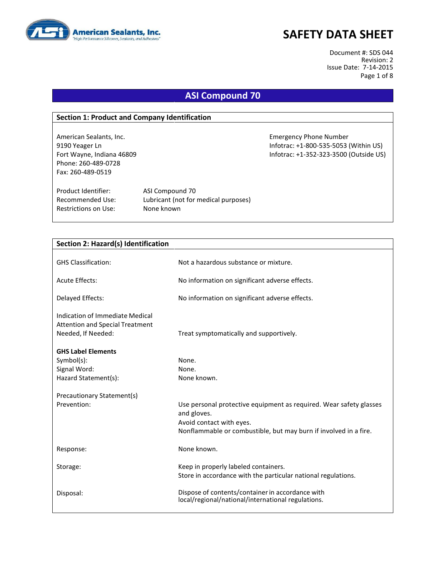

# **SAFETY DATA SHEET**

Document #: SDS 044 Revision: 2 Issue Date: 7-14-2015 Page 1 of 8

### **ASI Compound 70**

#### **Section 1: Product and Company Identification**

American Sealants, Inc. Emergency Phone Number 9190 Yeager Ln **Informac: +1-800-535-5053** (Within US) Phone: 260-489-0728 Fax: 260-489-0519

Product Identifier: ASI Compound 70

Fort Wayne, Indiana 46809 Infotrac: +1-352-323-3500 (Outside US)

Restrictions on Use: None known

Recommended Use: Lubricant (not for medical purposes)

| Section 2: Hazard(s) Identification    |                                                                                   |
|----------------------------------------|-----------------------------------------------------------------------------------|
|                                        |                                                                                   |
| <b>GHS Classification:</b>             | Not a hazardous substance or mixture.                                             |
|                                        |                                                                                   |
| Acute Effects:                         | No information on significant adverse effects.                                    |
| Delayed Effects:                       | No information on significant adverse effects.                                    |
| Indication of Immediate Medical        |                                                                                   |
| <b>Attention and Special Treatment</b> |                                                                                   |
| Needed, If Needed:                     | Treat symptomatically and supportively.                                           |
| <b>GHS Label Elements</b>              |                                                                                   |
| Symbol(s):                             | None.                                                                             |
|                                        |                                                                                   |
| Signal Word:                           | None.                                                                             |
| Hazard Statement(s):                   | None known.                                                                       |
| Precautionary Statement(s)             |                                                                                   |
| Prevention:                            | Use personal protective equipment as required. Wear safety glasses<br>and gloves. |
|                                        | Avoid contact with eyes.                                                          |
|                                        | Nonflammable or combustible, but may burn if involved in a fire.                  |
|                                        |                                                                                   |
| Response:                              | None known.                                                                       |
| Storage:                               | Keep in properly labeled containers.                                              |
|                                        | Store in accordance with the particular national regulations.                     |
|                                        |                                                                                   |
| Disposal:                              | Dispose of contents/container in accordance with                                  |
|                                        | local/regional/national/international regulations.                                |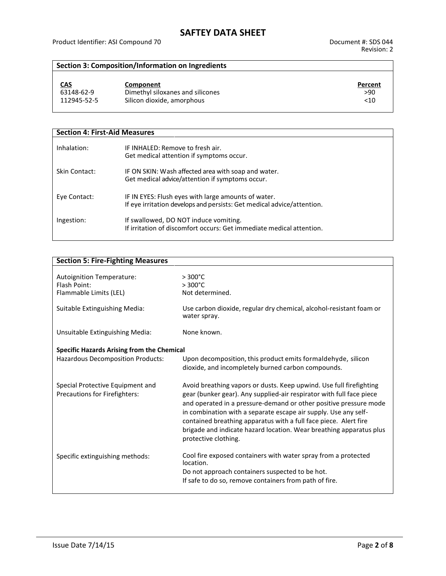### **Section 3: Composition/Information on Ingredients**

| <u>CAS</u>  | Component                        | Percent |
|-------------|----------------------------------|---------|
| 63148-62-9  | Dimethyl siloxanes and silicones | >90     |
| 112945-52-5 | Silicon dioxide, amorphous       | <10     |

| <b>Section 4: First-Aid Measures</b> |                                                                                                                               |  |  |  |
|--------------------------------------|-------------------------------------------------------------------------------------------------------------------------------|--|--|--|
| Inhalation:                          | IF INHALED: Remove to fresh air.<br>Get medical attention if symptoms occur.                                                  |  |  |  |
| Skin Contact:                        | IF ON SKIN: Wash affected area with soap and water.<br>Get medical advice/attention if symptoms occur.                        |  |  |  |
| Eye Contact:                         | IF IN EYES: Flush eyes with large amounts of water.<br>If eye irritation develops and persists: Get medical advice/attention. |  |  |  |
| Ingestion:                           | If swallowed, DO NOT induce vomiting.<br>If irritation of discomfort occurs: Get immediate medical attention.                 |  |  |  |

| <b>Section 5: Fire-Fighting Measures</b>                          |                                                                                                                                                                                                                                                                                                                                                                                                                                                        |
|-------------------------------------------------------------------|--------------------------------------------------------------------------------------------------------------------------------------------------------------------------------------------------------------------------------------------------------------------------------------------------------------------------------------------------------------------------------------------------------------------------------------------------------|
|                                                                   |                                                                                                                                                                                                                                                                                                                                                                                                                                                        |
| Autoignition Temperature:                                         | $>300^{\circ}$ C                                                                                                                                                                                                                                                                                                                                                                                                                                       |
| Flash Point:                                                      | $>300^{\circ}$ C                                                                                                                                                                                                                                                                                                                                                                                                                                       |
| Flammable Limits (LEL)                                            | Not determined.                                                                                                                                                                                                                                                                                                                                                                                                                                        |
| Suitable Extinguishing Media:                                     | Use carbon dioxide, regular dry chemical, alcohol-resistant foam or<br>water spray.                                                                                                                                                                                                                                                                                                                                                                    |
| Unsuitable Extinguishing Media:                                   | None known.                                                                                                                                                                                                                                                                                                                                                                                                                                            |
| <b>Specific Hazards Arising from the Chemical</b>                 |                                                                                                                                                                                                                                                                                                                                                                                                                                                        |
| <b>Hazardous Decomposition Products:</b>                          | Upon decomposition, this product emits formaldehyde, silicon<br>dioxide, and incompletely burned carbon compounds.                                                                                                                                                                                                                                                                                                                                     |
| Special Protective Equipment and<br>Precautions for Firefighters: | Avoid breathing vapors or dusts. Keep upwind. Use full firefighting<br>gear (bunker gear). Any supplied-air respirator with full face piece<br>and operated in a pressure-demand or other positive pressure mode<br>in combination with a separate escape air supply. Use any self-<br>contained breathing apparatus with a full face piece. Alert fire<br>brigade and indicate hazard location. Wear breathing apparatus plus<br>protective clothing. |
| Specific extinguishing methods:                                   | Cool fire exposed containers with water spray from a protected<br>location.                                                                                                                                                                                                                                                                                                                                                                            |
|                                                                   | Do not approach containers suspected to be hot.                                                                                                                                                                                                                                                                                                                                                                                                        |
|                                                                   | If safe to do so, remove containers from path of fire.                                                                                                                                                                                                                                                                                                                                                                                                 |
|                                                                   |                                                                                                                                                                                                                                                                                                                                                                                                                                                        |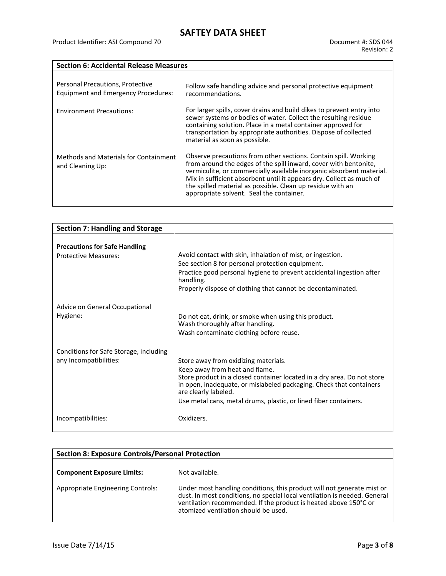#### **Section 6: Accidental Release Measures**

| Personal Precautions, Protective<br><b>Equipment and Emergency Procedures:</b> | Follow safe handling advice and personal protective equipment<br>recommendations.                                                                                                                                                                                                                                                                                                             |
|--------------------------------------------------------------------------------|-----------------------------------------------------------------------------------------------------------------------------------------------------------------------------------------------------------------------------------------------------------------------------------------------------------------------------------------------------------------------------------------------|
| <b>Environment Precautions:</b>                                                | For larger spills, cover drains and build dikes to prevent entry into<br>sewer systems or bodies of water. Collect the resulting residue<br>containing solution. Place in a metal container approved for<br>transportation by appropriate authorities. Dispose of collected<br>material as soon as possible.                                                                                  |
| Methods and Materials for Containment<br>and Cleaning Up:                      | Observe precautions from other sections. Contain spill. Working<br>from around the edges of the spill inward, cover with bentonite,<br>vermiculite, or commercially available inorganic absorbent material.<br>Mix in sufficient absorbent until it appears dry. Collect as much of<br>the spilled material as possible. Clean up residue with an<br>appropriate solvent. Seal the container. |

| <b>Section 7: Handling and Storage</b> |                                                                                             |
|----------------------------------------|---------------------------------------------------------------------------------------------|
|                                        |                                                                                             |
| <b>Precautions for Safe Handling</b>   |                                                                                             |
| <b>Protective Measures:</b>            | Avoid contact with skin, inhalation of mist, or ingestion.                                  |
|                                        | See section 8 for personal protection equipment.                                            |
|                                        | Practice good personal hygiene to prevent accidental ingestion after<br>handling.           |
|                                        | Properly dispose of clothing that cannot be decontaminated.                                 |
| Advice on General Occupational         |                                                                                             |
| Hygiene:                               | Do not eat, drink, or smoke when using this product.                                        |
|                                        | Wash thoroughly after handling.                                                             |
|                                        | Wash contaminate clothing before reuse.                                                     |
| Conditions for Safe Storage, including |                                                                                             |
| any Incompatibilities:                 | Store away from oxidizing materials.                                                        |
|                                        | Keep away from heat and flame.                                                              |
|                                        | Store product in a closed container located in a dry area. Do not store                     |
|                                        | in open, inadequate, or mislabeled packaging. Check that containers<br>are clearly labeled. |
|                                        | Use metal cans, metal drums, plastic, or lined fiber containers.                            |
| Incompatibilities:                     | Oxidizers.                                                                                  |
|                                        |                                                                                             |

| <b>Section 8: Exposure Controls/Personal Protection</b> |                                                                                                                                                                                                                                                                 |  |  |
|---------------------------------------------------------|-----------------------------------------------------------------------------------------------------------------------------------------------------------------------------------------------------------------------------------------------------------------|--|--|
| <b>Component Exposure Limits:</b>                       | Not available.                                                                                                                                                                                                                                                  |  |  |
| Appropriate Engineering Controls:                       | Under most handling conditions, this product will not generate mist or<br>dust. In most conditions, no special local ventilation is needed. General<br>ventilation recommended. If the product is heated above 150°C or<br>atomized ventilation should be used. |  |  |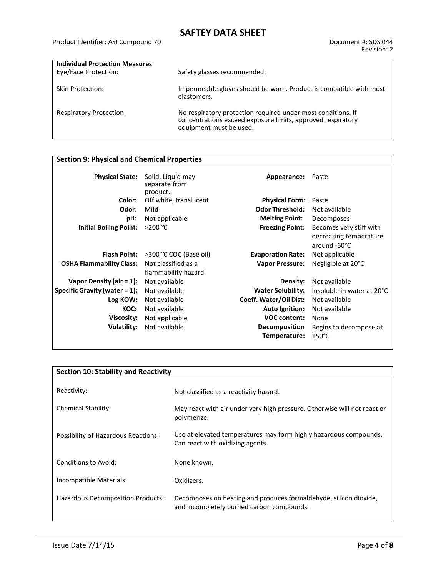# **SAFTEY DATA SHEET**

| <b>Individual Protection Measures</b><br>Eye/Face Protection: | Safety glasses recommended.                                                                                                                            |
|---------------------------------------------------------------|--------------------------------------------------------------------------------------------------------------------------------------------------------|
| <b>Skin Protection:</b>                                       | Impermeable gloves should be worn. Product is compatible with most<br>elastomers.                                                                      |
| <b>Respiratory Protection:</b>                                | No respiratory protection required under most conditions. If<br>concentrations exceed exposure limits, approved respiratory<br>equipment must be used. |

#### **Section 9: Physical and Chemical Properties**

| <b>Physical State:</b>           | Solid. Liquid may<br>separate from<br>product. | Appearance:                 | Paste                                                             |
|----------------------------------|------------------------------------------------|-----------------------------|-------------------------------------------------------------------|
| Color:                           | Off white, translucent                         | <b>Physical Form:</b> Paste |                                                                   |
| Odor:                            | Mild                                           | <b>Odor Threshold:</b>      | Not available                                                     |
| pH:                              | Not applicable                                 | <b>Melting Point:</b>       | Decomposes                                                        |
| <b>Initial Boiling Point:</b>    | $>200$ ℃                                       | <b>Freezing Point:</b>      | Becomes very stiff with<br>decreasing temperature<br>around -60°C |
| <b>Flash Point:</b>              | >300 ℃ COC (Base oil)                          | <b>Evaporation Rate:</b>    | Not applicable                                                    |
| <b>OSHA Flammability Class:</b>  | Not classified as a<br>flammability hazard     | <b>Vapor Pressure:</b>      | Negligible at 20°C                                                |
| Vapor Density (air $= 1$ ):      | Not available                                  | Density:                    | Not available                                                     |
| Specific Gravity (water $= 1$ ): | Not available                                  | <b>Water Solubility:</b>    | Insoluble in water at 20°C                                        |
| Log KOW:                         | Not available                                  | Coeff. Water/Oil Dist:      | Not available                                                     |
| KOC:                             | Not available                                  | <b>Auto Ignition:</b>       | Not available                                                     |
| Viscosity:                       | Not applicable                                 | <b>VOC content:</b>         | None                                                              |
| Volatility:                      | Not available                                  | <b>Decomposition</b>        | Begins to decompose at                                            |
|                                  |                                                | Temperature:                | $150^{\circ}$ C                                                   |

| <b>Section 10: Stability and Reactivity</b> |                                                                                                                |  |  |  |
|---------------------------------------------|----------------------------------------------------------------------------------------------------------------|--|--|--|
|                                             |                                                                                                                |  |  |  |
| Reactivity:                                 | Not classified as a reactivity hazard.                                                                         |  |  |  |
| <b>Chemical Stability:</b>                  | May react with air under very high pressure. Otherwise will not react or<br>polymerize.                        |  |  |  |
| Possibility of Hazardous Reactions:         | Use at elevated temperatures may form highly hazardous compounds.<br>Can react with oxidizing agents.          |  |  |  |
| Conditions to Avoid:                        | None known.                                                                                                    |  |  |  |
| Incompatible Materials:                     | Oxidizers.                                                                                                     |  |  |  |
| Hazardous Decomposition Products:           | Decomposes on heating and produces formaldehyde, silicon dioxide,<br>and incompletely burned carbon compounds. |  |  |  |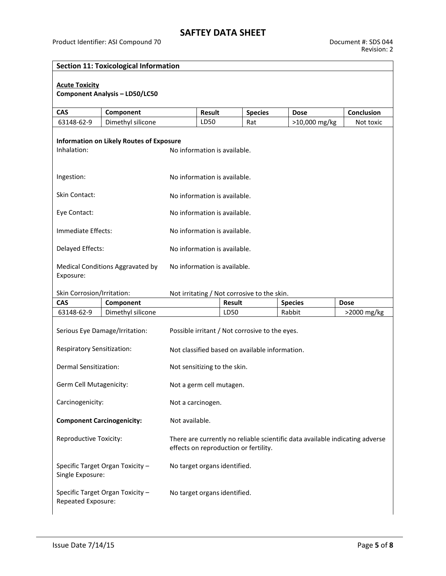| <b>Section 11: Toxicological Information</b>                                           |                                                     |                                                                                                                       |                              |               |                                             |                |             |
|----------------------------------------------------------------------------------------|-----------------------------------------------------|-----------------------------------------------------------------------------------------------------------------------|------------------------------|---------------|---------------------------------------------|----------------|-------------|
| <b>Acute Toxicity</b><br><b>Component Analysis - LD50/LC50</b>                         |                                                     |                                                                                                                       |                              |               |                                             |                |             |
| <b>CAS</b>                                                                             | Component                                           |                                                                                                                       | <b>Result</b>                |               | <b>Species</b>                              | <b>Dose</b>    | Conclusion  |
| 63148-62-9                                                                             | Dimethyl silicone                                   |                                                                                                                       | LD50                         | Rat           |                                             | >10,000 mg/kg  | Not toxic   |
| Inhalation:                                                                            | <b>Information on Likely Routes of Exposure</b>     |                                                                                                                       | No information is available. |               |                                             |                |             |
| Ingestion:                                                                             |                                                     |                                                                                                                       | No information is available. |               |                                             |                |             |
| <b>Skin Contact:</b>                                                                   |                                                     |                                                                                                                       | No information is available. |               |                                             |                |             |
| Eye Contact:                                                                           |                                                     |                                                                                                                       | No information is available. |               |                                             |                |             |
| Immediate Effects:                                                                     |                                                     |                                                                                                                       | No information is available. |               |                                             |                |             |
| Delayed Effects:                                                                       |                                                     |                                                                                                                       | No information is available. |               |                                             |                |             |
| Medical Conditions Aggravated by<br>Exposure:                                          |                                                     | No information is available.                                                                                          |                              |               |                                             |                |             |
| Skin Corrosion/Irritation:                                                             |                                                     |                                                                                                                       |                              |               | Not irritating / Not corrosive to the skin. |                |             |
| <b>CAS</b>                                                                             | Component                                           |                                                                                                                       |                              | <b>Result</b> |                                             | <b>Species</b> | <b>Dose</b> |
| 63148-62-9                                                                             | Dimethyl silicone                                   |                                                                                                                       |                              | LD50          |                                             | Rabbit         | >2000 mg/kg |
|                                                                                        | Serious Eye Damage/Irritation:                      | Possible irritant / Not corrosive to the eyes.                                                                        |                              |               |                                             |                |             |
| Respiratory Sensitization:                                                             |                                                     | Not classified based on available information.                                                                        |                              |               |                                             |                |             |
| <b>Dermal Sensitization:</b>                                                           |                                                     |                                                                                                                       | Not sensitizing to the skin. |               |                                             |                |             |
|                                                                                        | Germ Cell Mutagenicity:<br>Not a germ cell mutagen. |                                                                                                                       |                              |               |                                             |                |             |
| Carcinogenicity:                                                                       |                                                     | Not a carcinogen.                                                                                                     |                              |               |                                             |                |             |
| <b>Component Carcinogenicity:</b>                                                      |                                                     | Not available.                                                                                                        |                              |               |                                             |                |             |
| Reproductive Toxicity:                                                                 |                                                     | There are currently no reliable scientific data available indicating adverse<br>effects on reproduction or fertility. |                              |               |                                             |                |             |
| No target organs identified.<br>Specific Target Organ Toxicity -<br>Single Exposure:   |                                                     |                                                                                                                       |                              |               |                                             |                |             |
| Specific Target Organ Toxicity -<br>No target organs identified.<br>Repeated Exposure: |                                                     |                                                                                                                       |                              |               |                                             |                |             |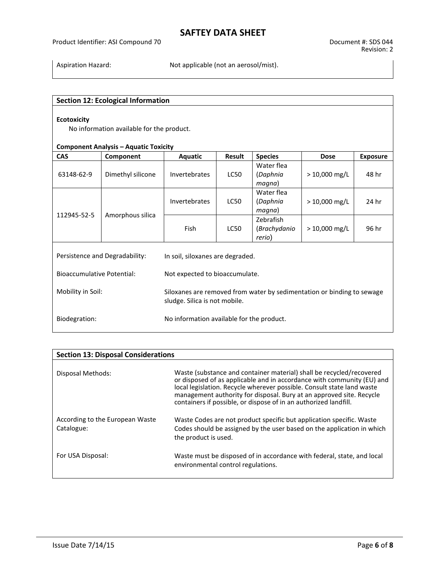# **SAFTEY DATA SHEET**

Aspiration Hazard: Not applicable (not an aerosol/mist).

#### **Section 12: Ecological Information**

#### **Ecotoxicity**

No information available for the product.

#### **Component Analysis – Aquatic Toxicity**

| <b>CAS</b>                                                 | Component         | Aquatic                          | Result      | <b>Species</b>                                                         | <b>Dose</b>     | <b>Exposure</b> |
|------------------------------------------------------------|-------------------|----------------------------------|-------------|------------------------------------------------------------------------|-----------------|-----------------|
| 63148-62-9                                                 | Dimethyl silicone | <b>Invertebrates</b>             | <b>LC50</b> | Water flea<br>(Daphnia<br>magna)                                       | $> 10,000$ mg/L | 48 hr           |
| 112945-52-5<br>Amorphous silica                            |                   | <b>Invertebrates</b>             | <b>LC50</b> | Water flea<br>(Daphnia<br>magna)                                       | $> 10,000$ mg/L | 24 hr           |
|                                                            |                   | Fish                             | <b>LC50</b> | Zebrafish<br>(Brachydanio<br>rerio)                                    | $> 10,000$ mg/L | 96 hr           |
| Persistence and Degradability:                             |                   | In soil, siloxanes are degraded. |             |                                                                        |                 |                 |
| <b>Bioaccumulative Potential:</b>                          |                   | Not expected to bioaccumulate.   |             |                                                                        |                 |                 |
| Mobility in Soil:<br>sludge. Silica is not mobile.         |                   |                                  |             | Siloxanes are removed from water by sedimentation or binding to sewage |                 |                 |
| Biodegration:<br>No information available for the product. |                   |                                  |             |                                                                        |                 |                 |

| <b>Section 13: Disposal Considerations</b>    |                                                                                                                                                                                                                                                                                                                                                                      |  |  |  |  |  |  |  |
|-----------------------------------------------|----------------------------------------------------------------------------------------------------------------------------------------------------------------------------------------------------------------------------------------------------------------------------------------------------------------------------------------------------------------------|--|--|--|--|--|--|--|
| Disposal Methods:                             | Waste (substance and container material) shall be recycled/recovered<br>or disposed of as applicable and in accordance with community (EU) and<br>local legislation. Recycle wherever possible. Consult state land waste<br>management authority for disposal. Bury at an approved site. Recycle<br>containers if possible, or dispose of in an authorized landfill. |  |  |  |  |  |  |  |
| According to the European Waste<br>Catalogue: | Waste Codes are not product specific but application specific. Waste<br>Codes should be assigned by the user based on the application in which<br>the product is used.                                                                                                                                                                                               |  |  |  |  |  |  |  |
| For USA Disposal:                             | Waste must be disposed of in accordance with federal, state, and local<br>environmental control regulations.                                                                                                                                                                                                                                                         |  |  |  |  |  |  |  |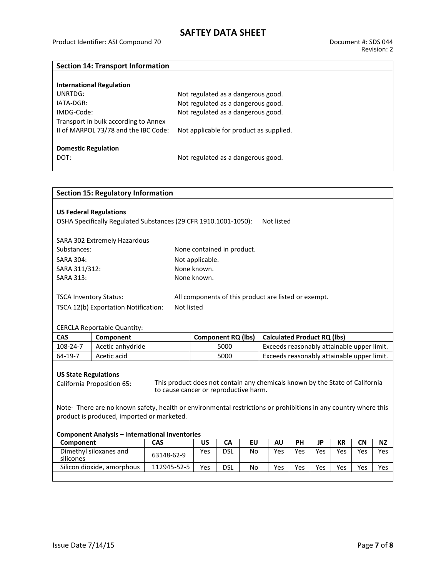### **Section 14: Transport Information**

| <b>International Regulation</b>      |                                         |
|--------------------------------------|-----------------------------------------|
| UNRTDG:                              | Not regulated as a dangerous good.      |
| IATA-DGR:                            | Not regulated as a dangerous good.      |
| IMDG-Code:                           | Not regulated as a dangerous good.      |
| Transport in bulk according to Annex |                                         |
| II of MARPOL 73/78 and the IBC Code: | Not applicable for product as supplied. |
|                                      |                                         |
| <b>Domestic Regulation</b>           |                                         |
| DOT:                                 | Not regulated as a dangerous good.      |

| <b>Section 15: Regulatory Information</b>                                             |                                                                                                                 |                                                                              |                            |            |                                            |                                            |     |           |           |           |            |  |  |  |
|---------------------------------------------------------------------------------------|-----------------------------------------------------------------------------------------------------------------|------------------------------------------------------------------------------|----------------------------|------------|--------------------------------------------|--------------------------------------------|-----|-----------|-----------|-----------|------------|--|--|--|
|                                                                                       |                                                                                                                 |                                                                              |                            |            |                                            |                                            |     |           |           |           |            |  |  |  |
| <b>US Federal Regulations</b>                                                         |                                                                                                                 |                                                                              |                            |            |                                            |                                            |     |           |           |           |            |  |  |  |
|                                                                                       | OSHA Specifically Regulated Substances (29 CFR 1910.1001-1050):                                                 |                                                                              |                            |            |                                            | Not listed                                 |     |           |           |           |            |  |  |  |
|                                                                                       |                                                                                                                 |                                                                              |                            |            |                                            |                                            |     |           |           |           |            |  |  |  |
| SARA 302 Extremely Hazardous                                                          |                                                                                                                 |                                                                              |                            |            |                                            |                                            |     |           |           |           |            |  |  |  |
| Substances:                                                                           |                                                                                                                 |                                                                              | None contained in product. |            |                                            |                                            |     |           |           |           |            |  |  |  |
| <b>SARA 304:</b>                                                                      |                                                                                                                 |                                                                              | Not applicable.            |            |                                            |                                            |     |           |           |           |            |  |  |  |
| SARA 311/312:                                                                         |                                                                                                                 |                                                                              | None known.                |            |                                            |                                            |     |           |           |           |            |  |  |  |
| <b>SARA 313:</b>                                                                      |                                                                                                                 |                                                                              | None known.                |            |                                            |                                            |     |           |           |           |            |  |  |  |
|                                                                                       |                                                                                                                 |                                                                              |                            |            |                                            |                                            |     |           |           |           |            |  |  |  |
| <b>TSCA Inventory Status:</b><br>All components of this product are listed or exempt. |                                                                                                                 |                                                                              |                            |            |                                            |                                            |     |           |           |           |            |  |  |  |
| Not listed<br>TSCA 12(b) Exportation Notification:                                    |                                                                                                                 |                                                                              |                            |            |                                            |                                            |     |           |           |           |            |  |  |  |
|                                                                                       |                                                                                                                 |                                                                              |                            |            |                                            |                                            |     |           |           |           |            |  |  |  |
|                                                                                       | <b>CERCLA Reportable Quantity:</b>                                                                              |                                                                              |                            |            |                                            |                                            |     |           |           |           |            |  |  |  |
| <b>CAS</b>                                                                            | Component                                                                                                       |                                                                              | <b>Component RQ (lbs)</b>  |            |                                            | <b>Calculated Product RQ (lbs)</b>         |     |           |           |           |            |  |  |  |
| 108-24-7                                                                              | Acetic anhydride                                                                                                |                                                                              | 5000                       |            |                                            | Exceeds reasonably attainable upper limit. |     |           |           |           |            |  |  |  |
| $64-19-7$                                                                             | Acetic acid                                                                                                     | 5000                                                                         |                            |            | Exceeds reasonably attainable upper limit. |                                            |     |           |           |           |            |  |  |  |
|                                                                                       |                                                                                                                 |                                                                              |                            |            |                                            |                                            |     |           |           |           |            |  |  |  |
| <b>US State Regulations</b>                                                           |                                                                                                                 |                                                                              |                            |            |                                            |                                            |     |           |           |           |            |  |  |  |
|                                                                                       | <b>California Proposition 65:</b>                                                                               | This product does not contain any chemicals known by the State of California |                            |            |                                            |                                            |     |           |           |           |            |  |  |  |
|                                                                                       |                                                                                                                 | to cause cancer or reproductive harm.                                        |                            |            |                                            |                                            |     |           |           |           |            |  |  |  |
|                                                                                       | Note- There are no known safety, health or environmental restrictions or prohibitions in any country where this |                                                                              |                            |            |                                            |                                            |     |           |           |           |            |  |  |  |
|                                                                                       | product is produced, imported or marketed.                                                                      |                                                                              |                            |            |                                            |                                            |     |           |           |           |            |  |  |  |
|                                                                                       |                                                                                                                 |                                                                              |                            |            |                                            |                                            |     |           |           |           |            |  |  |  |
|                                                                                       | <b>Component Analysis - International Inventories</b>                                                           |                                                                              |                            |            |                                            |                                            |     |           |           |           |            |  |  |  |
| Component                                                                             |                                                                                                                 | <b>CAS</b>                                                                   | US                         | CA         | <b>EU</b>                                  | <b>AU</b>                                  | PH  | <b>JP</b> | <b>KR</b> | <b>CN</b> | <b>NZ</b>  |  |  |  |
| Dimethyl siloxanes and                                                                |                                                                                                                 | 63148-62-9                                                                   | <b>Yes</b>                 | <b>DSL</b> | <b>No</b>                                  | Yes                                        | Yes | Yes       | Yes       | Yes       | <b>Yes</b> |  |  |  |
| silicones                                                                             |                                                                                                                 |                                                                              |                            |            |                                            |                                            |     |           |           |           |            |  |  |  |
| Silicon dioxide, amorphous<br>112945-52-5                                             |                                                                                                                 | Yes                                                                          | <b>DSL</b>                 | No         | Yes                                        | Yes                                        | Yes | Yes       | Yes       |           |            |  |  |  |
|                                                                                       |                                                                                                                 |                                                                              |                            |            |                                            |                                            |     |           |           |           | Yes        |  |  |  |